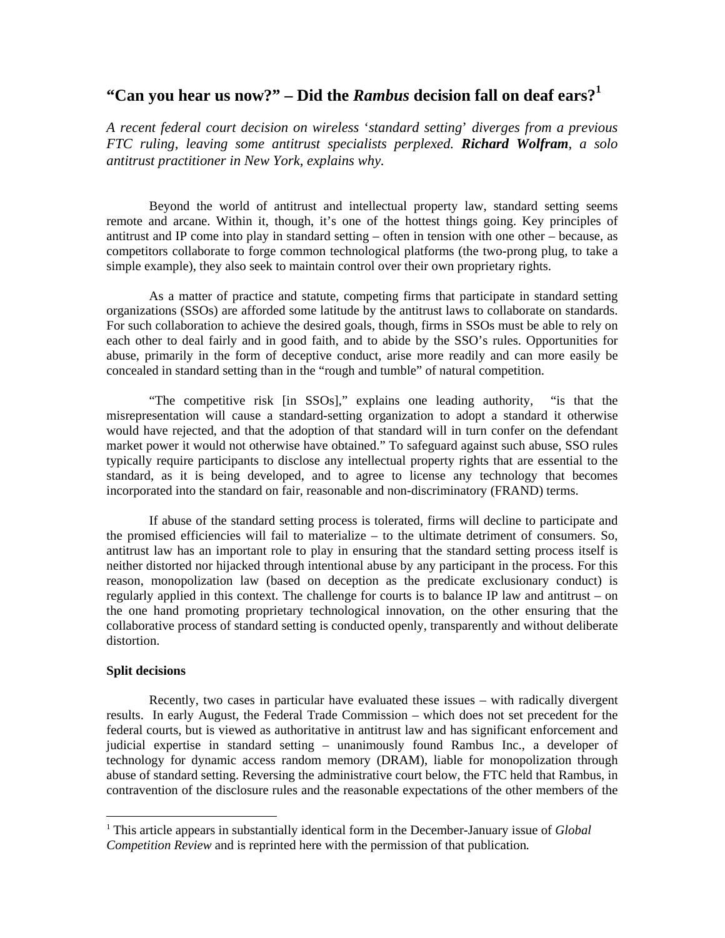## **"Can you hear us now?" – Did the** *Rambus* **decision fall on deaf ears?[1](#page-0-0)**

*A recent federal court decision on wireless* '*standard setting*' *diverges from a previous FTC ruling, leaving some antitrust specialists perplexed. Richard Wolfram, a solo antitrust practitioner in New York, explains why.* 

Beyond the world of antitrust and intellectual property law, standard setting seems remote and arcane. Within it, though, it's one of the hottest things going. Key principles of antitrust and IP come into play in standard setting – often in tension with one other – because, as competitors collaborate to forge common technological platforms (the two-prong plug, to take a simple example), they also seek to maintain control over their own proprietary rights.

As a matter of practice and statute, competing firms that participate in standard setting organizations (SSOs) are afforded some latitude by the antitrust laws to collaborate on standards. For such collaboration to achieve the desired goals, though, firms in SSOs must be able to rely on each other to deal fairly and in good faith, and to abide by the SSO's rules. Opportunities for abuse, primarily in the form of deceptive conduct, arise more readily and can more easily be concealed in standard setting than in the "rough and tumble" of natural competition.

"The competitive risk [in SSOs]," explains one leading authority, "is that the misrepresentation will cause a standard-setting organization to adopt a standard it otherwise would have rejected, and that the adoption of that standard will in turn confer on the defendant market power it would not otherwise have obtained." To safeguard against such abuse, SSO rules typically require participants to disclose any intellectual property rights that are essential to the standard, as it is being developed, and to agree to license any technology that becomes incorporated into the standard on fair, reasonable and non-discriminatory (FRAND) terms.

If abuse of the standard setting process is tolerated, firms will decline to participate and the promised efficiencies will fail to materialize – to the ultimate detriment of consumers. So, antitrust law has an important role to play in ensuring that the standard setting process itself is neither distorted nor hijacked through intentional abuse by any participant in the process. For this reason, monopolization law (based on deception as the predicate exclusionary conduct) is regularly applied in this context. The challenge for courts is to balance IP law and antitrust – on the one hand promoting proprietary technological innovation, on the other ensuring that the collaborative process of standard setting is conducted openly, transparently and without deliberate distortion.

## **Split decisions**

 $\overline{a}$ 

Recently, two cases in particular have evaluated these issues – with radically divergent results. In early August, the Federal Trade Commission – which does not set precedent for the federal courts, but is viewed as authoritative in antitrust law and has significant enforcement and judicial expertise in standard setting – unanimously found Rambus Inc., a developer of technology for dynamic access random memory (DRAM), liable for monopolization through abuse of standard setting. Reversing the administrative court below, the FTC held that Rambus, in contravention of the disclosure rules and the reasonable expectations of the other members of the

<span id="page-0-0"></span><sup>1</sup> This article appears in substantially identical form in the December-January issue of *Global Competition Review* and is reprinted here with the permission of that publication*.*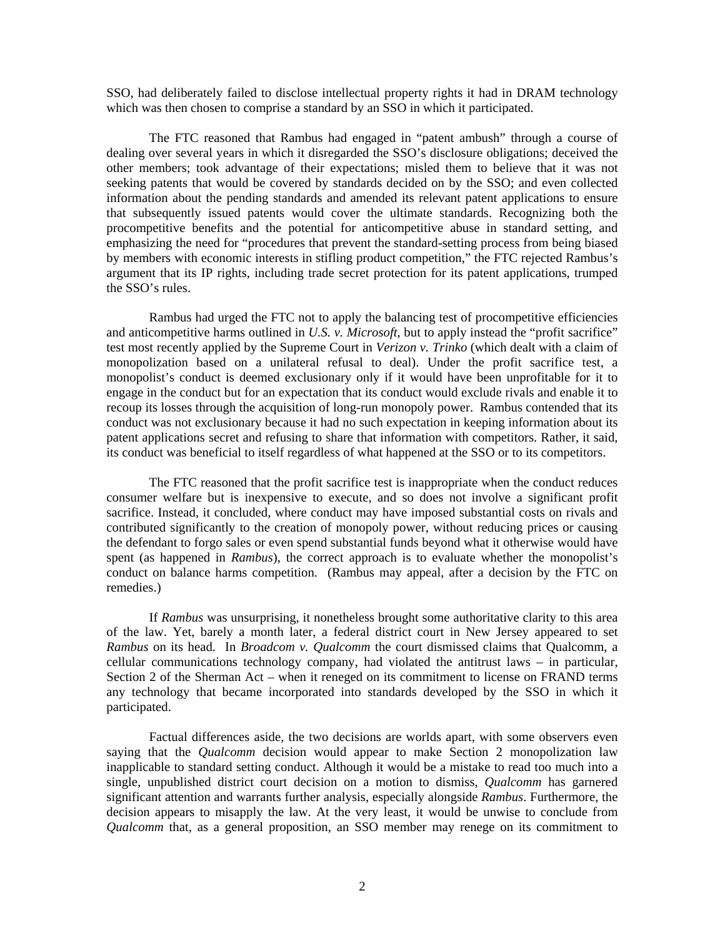SSO, had deliberately failed to disclose intellectual property rights it had in DRAM technology which was then chosen to comprise a standard by an SSO in which it participated.

The FTC reasoned that Rambus had engaged in "patent ambush" through a course of dealing over several years in which it disregarded the SSO's disclosure obligations; deceived the other members; took advantage of their expectations; misled them to believe that it was not seeking patents that would be covered by standards decided on by the SSO; and even collected information about the pending standards and amended its relevant patent applications to ensure that subsequently issued patents would cover the ultimate standards. Recognizing both the procompetitive benefits and the potential for anticompetitive abuse in standard setting, and emphasizing the need for "procedures that prevent the standard-setting process from being biased by members with economic interests in stifling product competition," the FTC rejected Rambus's argument that its IP rights, including trade secret protection for its patent applications, trumped the SSO's rules.

Rambus had urged the FTC not to apply the balancing test of procompetitive efficiencies and anticompetitive harms outlined in *U.S. v. Microsoft*, but to apply instead the "profit sacrifice" test most recently applied by the Supreme Court in *Verizon v. Trinko* (which dealt with a claim of monopolization based on a unilateral refusal to deal). Under the profit sacrifice test, a monopolist's conduct is deemed exclusionary only if it would have been unprofitable for it to engage in the conduct but for an expectation that its conduct would exclude rivals and enable it to recoup its losses through the acquisition of long-run monopoly power. Rambus contended that its conduct was not exclusionary because it had no such expectation in keeping information about its patent applications secret and refusing to share that information with competitors. Rather, it said, its conduct was beneficial to itself regardless of what happened at the SSO or to its competitors.

The FTC reasoned that the profit sacrifice test is inappropriate when the conduct reduces consumer welfare but is inexpensive to execute, and so does not involve a significant profit sacrifice. Instead, it concluded, where conduct may have imposed substantial costs on rivals and contributed significantly to the creation of monopoly power, without reducing prices or causing the defendant to forgo sales or even spend substantial funds beyond what it otherwise would have spent (as happened in *Rambus*), the correct approach is to evaluate whether the monopolist's conduct on balance harms competition. (Rambus may appeal, after a decision by the FTC on remedies.)

If *Rambus* was unsurprising, it nonetheless brought some authoritative clarity to this area of the law. Yet, barely a month later, a federal district court in New Jersey appeared to set *Rambus* on its head. In *Broadcom v. Qualcomm* the court dismissed claims that Qualcomm, a cellular communications technology company, had violated the antitrust laws – in particular, Section 2 of the Sherman Act – when it reneged on its commitment to license on FRAND terms any technology that became incorporated into standards developed by the SSO in which it participated.

Factual differences aside, the two decisions are worlds apart, with some observers even saying that the *Qualcomm* decision would appear to make Section 2 monopolization law inapplicable to standard setting conduct. Although it would be a mistake to read too much into a single, unpublished district court decision on a motion to dismiss, *Qualcomm* has garnered significant attention and warrants further analysis, especially alongside *Rambus*. Furthermore, the decision appears to misapply the law. At the very least, it would be unwise to conclude from *Qualcomm* that, as a general proposition, an SSO member may renege on its commitment to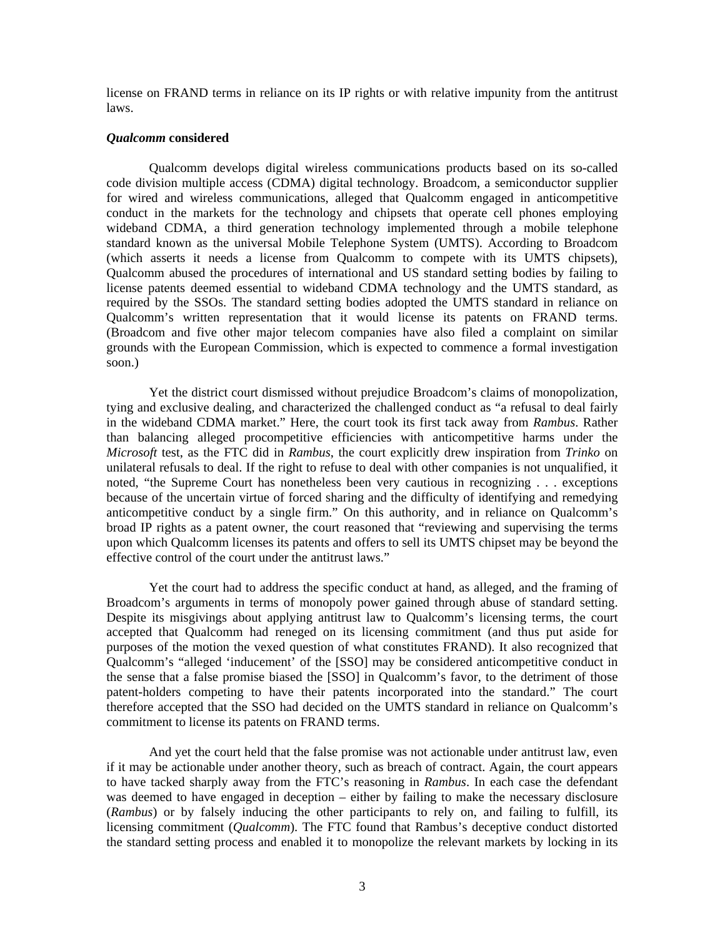license on FRAND terms in reliance on its IP rights or with relative impunity from the antitrust laws.

## *Qualcomm* **considered**

Qualcomm develops digital wireless communications products based on its so-called code division multiple access (CDMA) digital technology. Broadcom, a semiconductor supplier for wired and wireless communications, alleged that Qualcomm engaged in anticompetitive conduct in the markets for the technology and chipsets that operate cell phones employing wideband CDMA, a third generation technology implemented through a mobile telephone standard known as the universal Mobile Telephone System (UMTS). According to Broadcom (which asserts it needs a license from Qualcomm to compete with its UMTS chipsets), Qualcomm abused the procedures of international and US standard setting bodies by failing to license patents deemed essential to wideband CDMA technology and the UMTS standard, as required by the SSOs. The standard setting bodies adopted the UMTS standard in reliance on Qualcomm's written representation that it would license its patents on FRAND terms. (Broadcom and five other major telecom companies have also filed a complaint on similar grounds with the European Commission, which is expected to commence a formal investigation soon.)

Yet the district court dismissed without prejudice Broadcom's claims of monopolization, tying and exclusive dealing, and characterized the challenged conduct as "a refusal to deal fairly in the wideband CDMA market." Here, the court took its first tack away from *Rambus*. Rather than balancing alleged procompetitive efficiencies with anticompetitive harms under the *Microsoft* test, as the FTC did in *Rambus*, the court explicitly drew inspiration from *Trinko* on unilateral refusals to deal. If the right to refuse to deal with other companies is not unqualified, it noted, "the Supreme Court has nonetheless been very cautious in recognizing . . . exceptions because of the uncertain virtue of forced sharing and the difficulty of identifying and remedying anticompetitive conduct by a single firm." On this authority, and in reliance on Qualcomm's broad IP rights as a patent owner, the court reasoned that "reviewing and supervising the terms upon which Qualcomm licenses its patents and offers to sell its UMTS chipset may be beyond the effective control of the court under the antitrust laws."

Yet the court had to address the specific conduct at hand, as alleged, and the framing of Broadcom's arguments in terms of monopoly power gained through abuse of standard setting. Despite its misgivings about applying antitrust law to Qualcomm's licensing terms, the court accepted that Qualcomm had reneged on its licensing commitment (and thus put aside for purposes of the motion the vexed question of what constitutes FRAND). It also recognized that Qualcomm's "alleged 'inducement' of the [SSO] may be considered anticompetitive conduct in the sense that a false promise biased the [SSO] in Qualcomm's favor, to the detriment of those patent-holders competing to have their patents incorporated into the standard." The court therefore accepted that the SSO had decided on the UMTS standard in reliance on Qualcomm's commitment to license its patents on FRAND terms.

And yet the court held that the false promise was not actionable under antitrust law, even if it may be actionable under another theory, such as breach of contract. Again, the court appears to have tacked sharply away from the FTC's reasoning in *Rambus*. In each case the defendant was deemed to have engaged in deception – either by failing to make the necessary disclosure (*Rambus*) or by falsely inducing the other participants to rely on, and failing to fulfill, its licensing commitment (*Qualcomm*). The FTC found that Rambus's deceptive conduct distorted the standard setting process and enabled it to monopolize the relevant markets by locking in its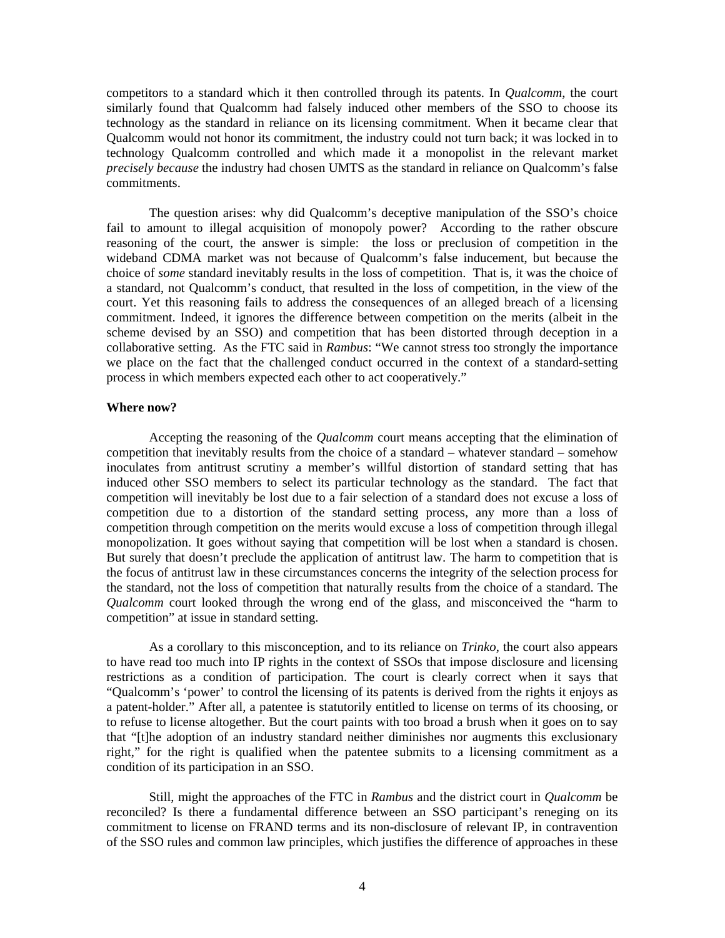competitors to a standard which it then controlled through its patents. In *Qualcomm*, the court similarly found that Qualcomm had falsely induced other members of the SSO to choose its technology as the standard in reliance on its licensing commitment. When it became clear that Qualcomm would not honor its commitment, the industry could not turn back; it was locked in to technology Qualcomm controlled and which made it a monopolist in the relevant market *precisely because* the industry had chosen UMTS as the standard in reliance on Qualcomm's false commitments.

The question arises: why did Qualcomm's deceptive manipulation of the SSO's choice fail to amount to illegal acquisition of monopoly power? According to the rather obscure reasoning of the court, the answer is simple: the loss or preclusion of competition in the wideband CDMA market was not because of Qualcomm's false inducement, but because the choice of *some* standard inevitably results in the loss of competition. That is, it was the choice of a standard, not Qualcomm's conduct, that resulted in the loss of competition, in the view of the court. Yet this reasoning fails to address the consequences of an alleged breach of a licensing commitment. Indeed, it ignores the difference between competition on the merits (albeit in the scheme devised by an SSO) and competition that has been distorted through deception in a collaborative setting. As the FTC said in *Rambus*: "We cannot stress too strongly the importance we place on the fact that the challenged conduct occurred in the context of a standard-setting process in which members expected each other to act cooperatively."

## **Where now?**

Accepting the reasoning of the *Qualcomm* court means accepting that the elimination of competition that inevitably results from the choice of a standard – whatever standard – somehow inoculates from antitrust scrutiny a member's willful distortion of standard setting that has induced other SSO members to select its particular technology as the standard. The fact that competition will inevitably be lost due to a fair selection of a standard does not excuse a loss of competition due to a distortion of the standard setting process, any more than a loss of competition through competition on the merits would excuse a loss of competition through illegal monopolization. It goes without saying that competition will be lost when a standard is chosen. But surely that doesn't preclude the application of antitrust law. The harm to competition that is the focus of antitrust law in these circumstances concerns the integrity of the selection process for the standard, not the loss of competition that naturally results from the choice of a standard. The *Qualcomm* court looked through the wrong end of the glass, and misconceived the "harm to competition" at issue in standard setting.

As a corollary to this misconception, and to its reliance on *Trinko*, the court also appears to have read too much into IP rights in the context of SSOs that impose disclosure and licensing restrictions as a condition of participation. The court is clearly correct when it says that "Qualcomm's 'power' to control the licensing of its patents is derived from the rights it enjoys as a patent-holder." After all, a patentee is statutorily entitled to license on terms of its choosing, or to refuse to license altogether. But the court paints with too broad a brush when it goes on to say that "[t]he adoption of an industry standard neither diminishes nor augments this exclusionary right," for the right is qualified when the patentee submits to a licensing commitment as a condition of its participation in an SSO.

Still, might the approaches of the FTC in *Rambus* and the district court in *Qualcomm* be reconciled? Is there a fundamental difference between an SSO participant's reneging on its commitment to license on FRAND terms and its non-disclosure of relevant IP, in contravention of the SSO rules and common law principles, which justifies the difference of approaches in these